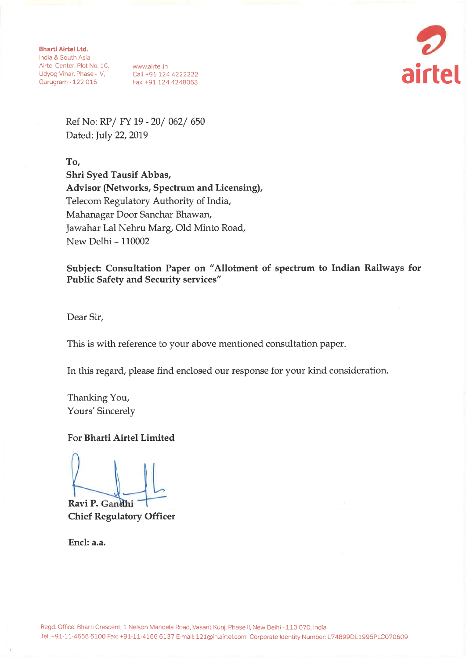**Bharti Airtel Ltd.** India & South Asia Airdi & Social Asia<br>
Airtel Center, Plot No. 16, www.airtel.in<br>
Udyog Vihar, Phase - IV, Call +91 124 4222222<br>
Gurugram - 122 015 Fax +91 124 4248063



Ref No: RP/ FY 19 - 20/ 062/ 650 Dated: July 22, 2019

To.

Shri Syed Tausif Abbas, Advisor (Networks, Spectrum and Licensing), Telecom Regulatory Authority of India, Mahanagar Door Sanchar Bhawan, Jawahar Lal Nehru Marg, Old Minto Road, New Delhi - 110002

Subject: Consultation Paper on "Allotment of spectrum to Indian Railways for **Public Safety and Security services"** 

Dear Sir,

This is with reference to your above mentioned consultation paper.

In this regard, please find enclosed our response for your kind consideration.

Thanking You, Yours' Sincerely

For Bharti Airtel Limited

Ravi P. Gandhi **Chief Regulatory Officer** 

Encl: a.a.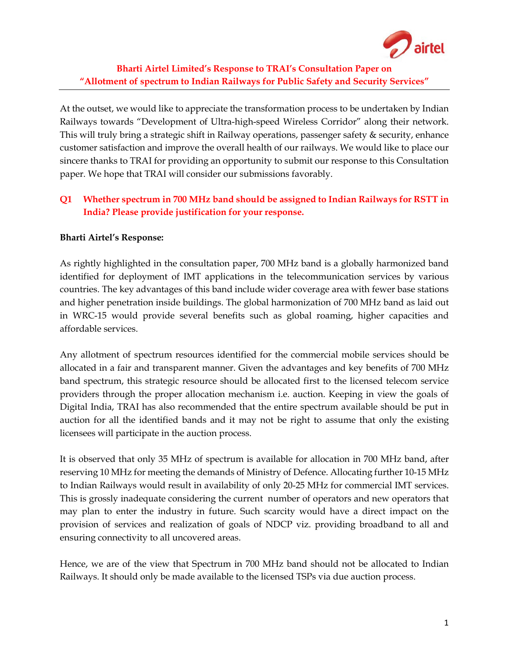

# Bharti Airtel Limited's Response to TRAI's Consultation Paper on "Allotment of spectrum to Indian Railways for Public Safety and Security Services"

At the outset, we would like to appreciate the transformation process to be undertaken by Indian Railways towards "Development of Ultra-high-speed Wireless Corridor" along their network. This will truly bring a strategic shift in Railway operations, passenger safety & security, enhance customer satisfaction and improve the overall health of our railways. We would like to place our sincere thanks to TRAI for providing an opportunity to submit our response to this Consultation paper. We hope that TRAI will consider our submissions favorably.

# Q1 Whether spectrum in 700 MHz band should be assigned to Indian Railways for RSTT in India? Please provide justification for your response.

## Bharti Airtel's Response:

As rightly highlighted in the consultation paper, 700 MHz band is a globally harmonized band identified for deployment of IMT applications in the telecommunication services by various countries. The key advantages of this band include wider coverage area with fewer base stations and higher penetration inside buildings. The global harmonization of 700 MHz band as laid out in WRC-15 would provide several benefits such as global roaming, higher capacities and affordable services.

Any allotment of spectrum resources identified for the commercial mobile services should be allocated in a fair and transparent manner. Given the advantages and key benefits of 700 MHz band spectrum, this strategic resource should be allocated first to the licensed telecom service providers through the proper allocation mechanism i.e. auction. Keeping in view the goals of Digital India, TRAI has also recommended that the entire spectrum available should be put in auction for all the identified bands and it may not be right to assume that only the existing licensees will participate in the auction process.

It is observed that only 35 MHz of spectrum is available for allocation in 700 MHz band, after reserving 10 MHz for meeting the demands of Ministry of Defence. Allocating further 10-15 MHz to Indian Railways would result in availability of only 20-25 MHz for commercial IMT services. This is grossly inadequate considering the current number of operators and new operators that may plan to enter the industry in future. Such scarcity would have a direct impact on the provision of services and realization of goals of NDCP viz. providing broadband to all and ensuring connectivity to all uncovered areas.

Hence, we are of the view that Spectrum in 700 MHz band should not be allocated to Indian Railways. It should only be made available to the licensed TSPs via due auction process.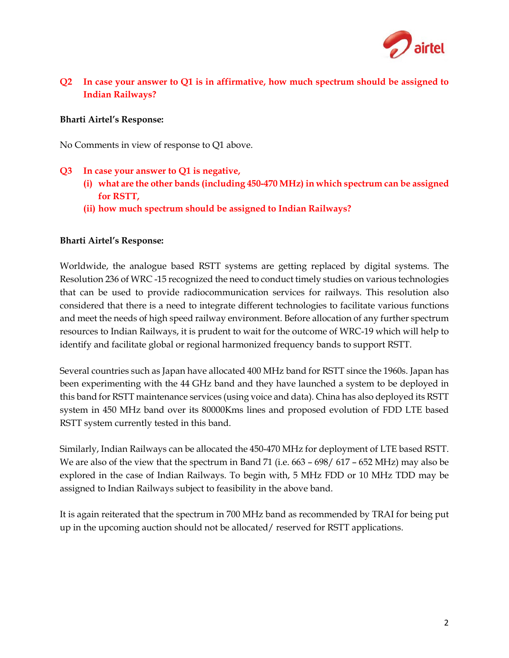

## Q2 In case your answer to Q1 is in affirmative, how much spectrum should be assigned to Indian Railways?

### Bharti Airtel's Response:

No Comments in view of response to Q1 above.

### Q3 In case your answer to Q1 is negative,

- (i) what are the other bands (including 450-470 MHz) in which spectrum can be assigned for RSTT,
- (ii) how much spectrum should be assigned to Indian Railways?

### Bharti Airtel's Response:

Worldwide, the analogue based RSTT systems are getting replaced by digital systems. The Resolution 236 of WRC -15 recognized the need to conduct timely studies on various technologies that can be used to provide radiocommunication services for railways. This resolution also considered that there is a need to integrate different technologies to facilitate various functions and meet the needs of high speed railway environment. Before allocation of any further spectrum resources to Indian Railways, it is prudent to wait for the outcome of WRC-19 which will help to identify and facilitate global or regional harmonized frequency bands to support RSTT.

Several countries such as Japan have allocated 400 MHz band for RSTT since the 1960s. Japan has been experimenting with the 44 GHz band and they have launched a system to be deployed in this band for RSTT maintenance services (using voice and data). China has also deployed its RSTT system in 450 MHz band over its 80000Kms lines and proposed evolution of FDD LTE based RSTT system currently tested in this band.

Similarly, Indian Railways can be allocated the 450-470 MHz for deployment of LTE based RSTT. We are also of the view that the spectrum in Band 71 (i.e. 663 – 698/ 617 – 652 MHz) may also be explored in the case of Indian Railways. To begin with, 5 MHz FDD or 10 MHz TDD may be assigned to Indian Railways subject to feasibility in the above band.

It is again reiterated that the spectrum in 700 MHz band as recommended by TRAI for being put up in the upcoming auction should not be allocated/ reserved for RSTT applications.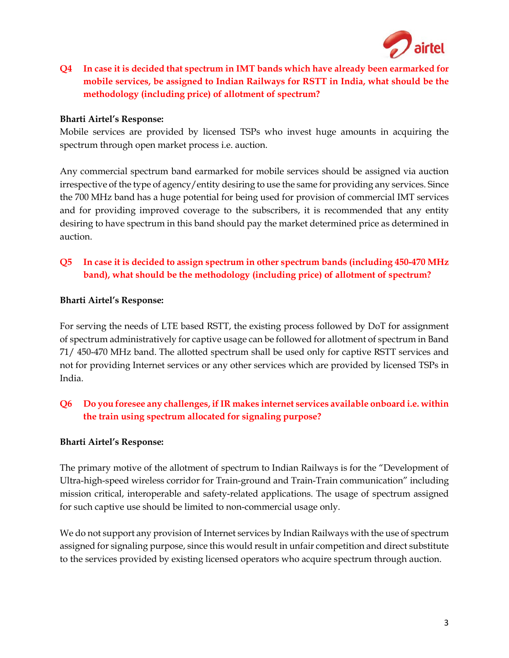

Q4 In case it is decided that spectrum in IMT bands which have already been earmarked for mobile services, be assigned to Indian Railways for RSTT in India, what should be the methodology (including price) of allotment of spectrum?

### Bharti Airtel's Response:

Mobile services are provided by licensed TSPs who invest huge amounts in acquiring the spectrum through open market process i.e. auction.

Any commercial spectrum band earmarked for mobile services should be assigned via auction irrespective of the type of agency/entity desiring to use the same for providing any services. Since the 700 MHz band has a huge potential for being used for provision of commercial IMT services and for providing improved coverage to the subscribers, it is recommended that any entity desiring to have spectrum in this band should pay the market determined price as determined in auction.

## Q5 In case it is decided to assign spectrum in other spectrum bands (including 450-470 MHz band), what should be the methodology (including price) of allotment of spectrum?

### Bharti Airtel's Response:

For serving the needs of LTE based RSTT, the existing process followed by DoT for assignment of spectrum administratively for captive usage can be followed for allotment of spectrum in Band 71/ 450-470 MHz band. The allotted spectrum shall be used only for captive RSTT services and not for providing Internet services or any other services which are provided by licensed TSPs in India.

# Q6 Do you foresee any challenges, if IR makes internet services available onboard i.e. within the train using spectrum allocated for signaling purpose?

#### Bharti Airtel's Response:

The primary motive of the allotment of spectrum to Indian Railways is for the "Development of Ultra-high-speed wireless corridor for Train-ground and Train-Train communication" including mission critical, interoperable and safety-related applications. The usage of spectrum assigned for such captive use should be limited to non-commercial usage only.

We do not support any provision of Internet services by Indian Railways with the use of spectrum assigned for signaling purpose, since this would result in unfair competition and direct substitute to the services provided by existing licensed operators who acquire spectrum through auction.